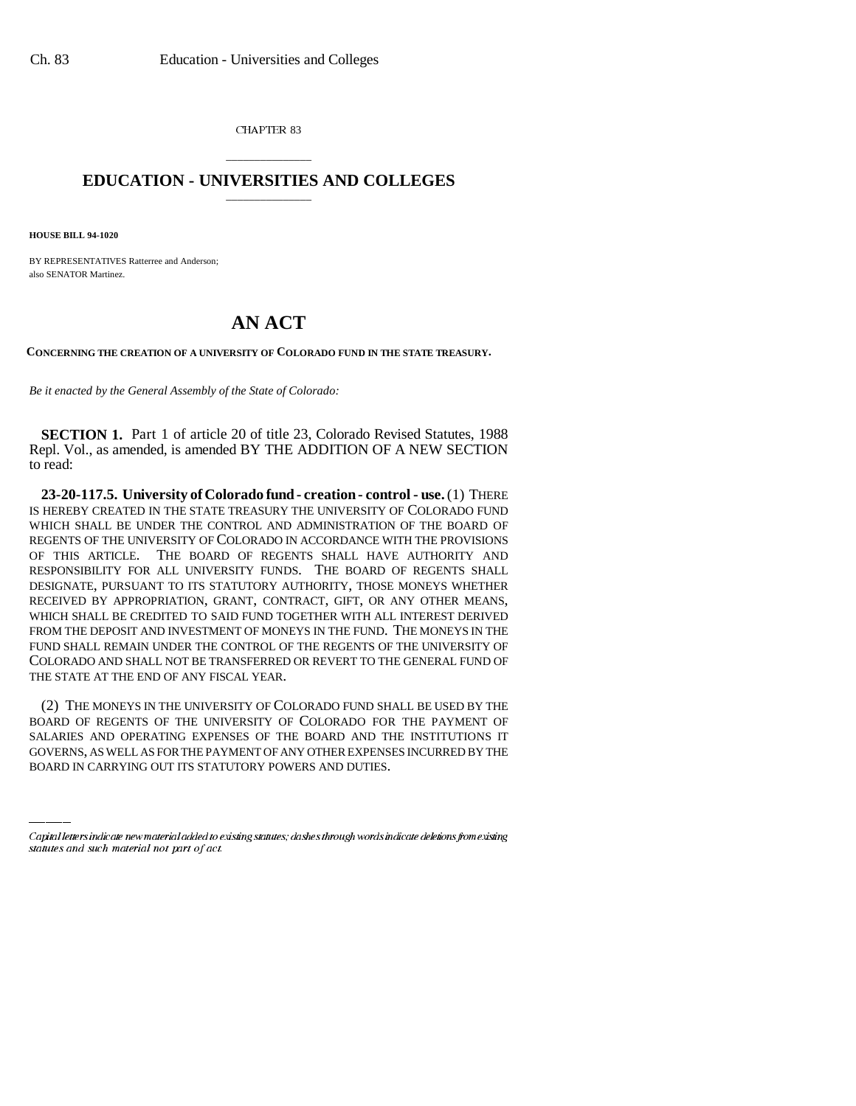CHAPTER 83

## \_\_\_\_\_\_\_\_\_\_\_\_\_\_\_ **EDUCATION - UNIVERSITIES AND COLLEGES** \_\_\_\_\_\_\_\_\_\_\_\_\_\_\_

**HOUSE BILL 94-1020**

BY REPRESENTATIVES Ratterree and Anderson; also SENATOR Martinez.

## **AN ACT**

**CONCERNING THE CREATION OF A UNIVERSITY OF COLORADO FUND IN THE STATE TREASURY.**

*Be it enacted by the General Assembly of the State of Colorado:*

**SECTION 1.** Part 1 of article 20 of title 23, Colorado Revised Statutes, 1988 Repl. Vol., as amended, is amended BY THE ADDITION OF A NEW SECTION to read:

**23-20-117.5. University of Colorado fund - creation - control - use.** (1) THERE IS HEREBY CREATED IN THE STATE TREASURY THE UNIVERSITY OF COLORADO FUND WHICH SHALL BE UNDER THE CONTROL AND ADMINISTRATION OF THE BOARD OF REGENTS OF THE UNIVERSITY OF COLORADO IN ACCORDANCE WITH THE PROVISIONS OF THIS ARTICLE. THE BOARD OF REGENTS SHALL HAVE AUTHORITY AND RESPONSIBILITY FOR ALL UNIVERSITY FUNDS. THE BOARD OF REGENTS SHALL DESIGNATE, PURSUANT TO ITS STATUTORY AUTHORITY, THOSE MONEYS WHETHER RECEIVED BY APPROPRIATION, GRANT, CONTRACT, GIFT, OR ANY OTHER MEANS, WHICH SHALL BE CREDITED TO SAID FUND TOGETHER WITH ALL INTEREST DERIVED FROM THE DEPOSIT AND INVESTMENT OF MONEYS IN THE FUND. THE MONEYS IN THE FUND SHALL REMAIN UNDER THE CONTROL OF THE REGENTS OF THE UNIVERSITY OF COLORADO AND SHALL NOT BE TRANSFERRED OR REVERT TO THE GENERAL FUND OF THE STATE AT THE END OF ANY FISCAL YEAR.

BOARD OF REGENTS OF THE UNIVERSITY OF COLORADO FOR THE PAYMENT OF (2) THE MONEYS IN THE UNIVERSITY OF COLORADO FUND SHALL BE USED BY THE SALARIES AND OPERATING EXPENSES OF THE BOARD AND THE INSTITUTIONS IT GOVERNS, AS WELL AS FOR THE PAYMENT OF ANY OTHER EXPENSES INCURRED BY THE BOARD IN CARRYING OUT ITS STATUTORY POWERS AND DUTIES.

Capital letters indicate new material added to existing statutes; dashes through words indicate deletions from existing statutes and such material not part of act.